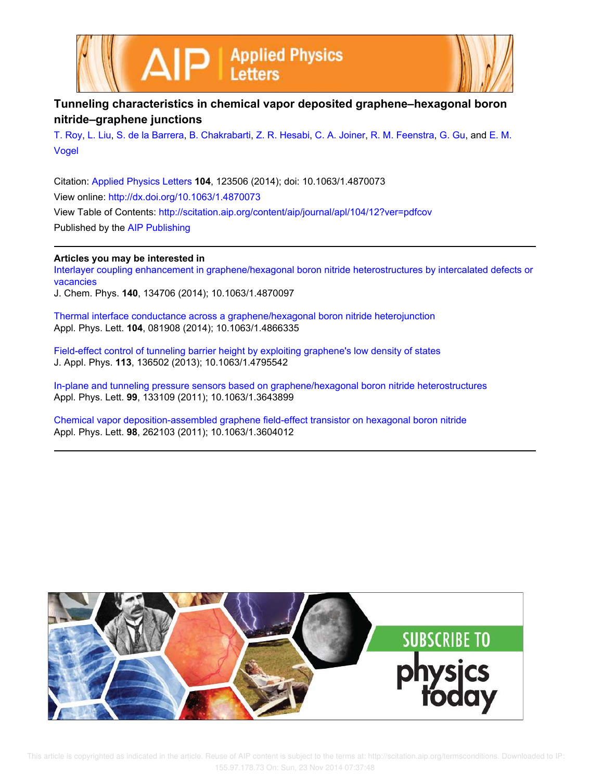



## **Tunneling characteristics in chemical vapor deposited graphene–hexagonal boron nitride–graphene junctions**

T. Roy, L. Liu, S. de la Barrera, B. Chakrabarti, Z. R. Hesabi, C. A. Joiner, R. M. Feenstra, G. Gu, and E. M. Vogel

Citation: Applied Physics Letters **104**, 123506 (2014); doi: 10.1063/1.4870073 View online: http://dx.doi.org/10.1063/1.4870073 View Table of Contents: http://scitation.aip.org/content/aip/journal/apl/104/12?ver=pdfcov Published by the AIP Publishing

## **Articles you may be interested in**

Interlayer coupling enhancement in graphene/hexagonal boron nitride heterostructures by intercalated defects or vacancies J. Chem. Phys. **140**, 134706 (2014); 10.1063/1.4870097

Thermal interface conductance across a graphene/hexagonal boron nitride heterojunction Appl. Phys. Lett. **104**, 081908 (2014); 10.1063/1.4866335

Field-effect control of tunneling barrier height by exploiting graphene's low density of states J. Appl. Phys. **113**, 136502 (2013); 10.1063/1.4795542

In-plane and tunneling pressure sensors based on graphene/hexagonal boron nitride heterostructures Appl. Phys. Lett. **99**, 133109 (2011); 10.1063/1.3643899

Chemical vapor deposition-assembled graphene field-effect transistor on hexagonal boron nitride Appl. Phys. Lett. **98**, 262103 (2011); 10.1063/1.3604012

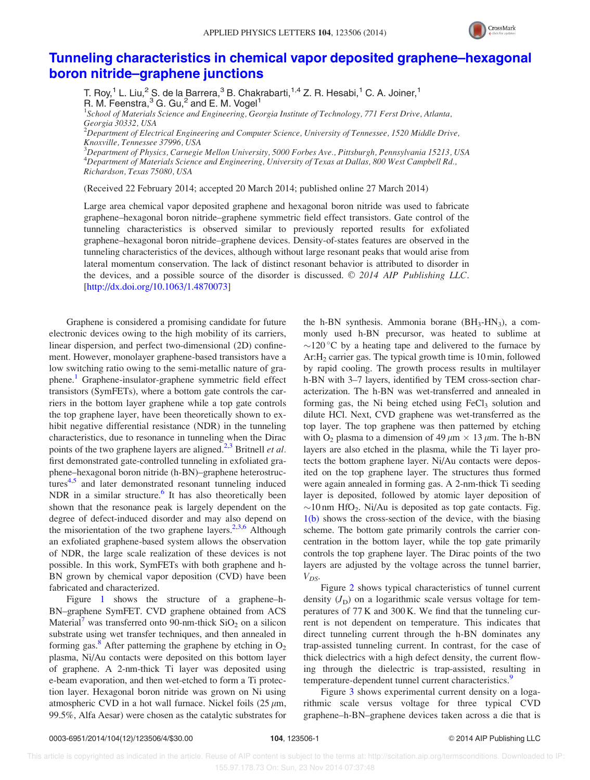

## Tunneling characteristics in chemical vapor deposited graphene–hexagonal boron nitride–graphene junctions

T. Roy,<sup>1</sup> L. Liu,<sup>2</sup> S. de la Barrera,<sup>3</sup> B. Chakrabarti,<sup>1,4</sup> Z. R. Hesabi,<sup>1</sup> C. A. Joiner,<sup>1</sup> R. M. Feenstra,<sup>3</sup> G. Gu,<sup>2</sup> and E. M. Vogel<sup>1</sup>

<sup>1</sup>School of Materials Science and Engineering, Georgia Institute of Technology, 771 Ferst Drive, Atlanta, Georgia 30332, USA

 $^2$ Department of Electrical Engineering and Computer Science, University of Tennessee, 1520 Middle Drive, Knoxville, Tennessee 37996, USA

<sup>3</sup>Department of Physics, Carnegie Mellon University, 5000 Forbes Ave., Pittsburgh, Pennsylvania 15213, USA  ${}^{4}$ Department of Materials Science and Engineering, University of Texas at Dallas, 800 West Campbell Rd., Richardson, Texas 75080, USA

(Received 22 February 2014; accepted 20 March 2014; published online 27 March 2014)

Large area chemical vapor deposited graphene and hexagonal boron nitride was used to fabricate graphene–hexagonal boron nitride–graphene symmetric field effect transistors. Gate control of the tunneling characteristics is observed similar to previously reported results for exfoliated graphene–hexagonal boron nitride–graphene devices. Density-of-states features are observed in the tunneling characteristics of the devices, although without large resonant peaks that would arise from lateral momentum conservation. The lack of distinct resonant behavior is attributed to disorder in the devices, and a possible source of the disorder is discussed.  $\odot$  2014 AIP Publishing LLC. [http://dx.doi.org/10.1063/1.4870073]

Graphene is considered a promising candidate for future electronic devices owing to the high mobility of its carriers, linear dispersion, and perfect two-dimensional (2D) confinement. However, monolayer graphene-based transistors have a low switching ratio owing to the semi-metallic nature of graphene.<sup>1</sup> Graphene-insulator-graphene symmetric field effect transistors (SymFETs), where a bottom gate controls the carriers in the bottom layer graphene while a top gate controls the top graphene layer, have been theoretically shown to exhibit negative differential resistance (NDR) in the tunneling characteristics, due to resonance in tunneling when the Dirac points of the two graphene layers are aligned.<sup>2,3</sup> Britnell *et al.* first demonstrated gate-controlled tunneling in exfoliated graphene–hexagonal boron nitride (h-BN)–graphene heterostructures<sup>4,5</sup> and later demonstrated resonant tunneling induced NDR in a similar structure.<sup>6</sup> It has also theoretically been shown that the resonance peak is largely dependent on the degree of defect-induced disorder and may also depend on the misorientation of the two graphene layers.<sup>2,3,6</sup> Although an exfoliated graphene-based system allows the observation of NDR, the large scale realization of these devices is not possible. In this work, SymFETs with both graphene and h-BN grown by chemical vapor deposition (CVD) have been fabricated and characterized.

Figure 1 shows the structure of a graphene–h-BN–graphene SymFET. CVD graphene obtained from ACS Material<sup>7</sup> was transferred onto 90-nm-thick  $SiO<sub>2</sub>$  on a silicon substrate using wet transfer techniques, and then annealed in forming gas.<sup>8</sup> After patterning the graphene by etching in  $O_2$ plasma, Ni/Au contacts were deposited on this bottom layer of graphene. A 2-nm-thick Ti layer was deposited using e-beam evaporation, and then wet-etched to form a Ti protection layer. Hexagonal boron nitride was grown on Ni using atmospheric CVD in a hot wall furnace. Nickel foils  $(25 \mu m,$ 99.5%, Alfa Aesar) were chosen as the catalytic substrates for the h-BN synthesis. Ammonia borane  $(BH_3-HN_3)$ , a commonly used h-BN precursor, was heated to sublime at  $\sim$ 120 °C by a heating tape and delivered to the furnace by Ar:H<sup>2</sup> carrier gas. The typical growth time is 10 min, followed by rapid cooling. The growth process results in multilayer h-BN with 3–7 layers, identified by TEM cross-section characterization. The h-BN was wet-transferred and annealed in forming gas, the Ni being etched using  $FeCl<sub>3</sub>$  solution and dilute HCl. Next, CVD graphene was wet-transferred as the top layer. The top graphene was then patterned by etching with O<sub>2</sub> plasma to a dimension of 49  $\mu$ m  $\times$  13  $\mu$ m. The h-BN layers are also etched in the plasma, while the Ti layer protects the bottom graphene layer. Ni/Au contacts were deposited on the top graphene layer. The structures thus formed were again annealed in forming gas. A 2-nm-thick Ti seeding layer is deposited, followed by atomic layer deposition of  $\sim$ 10 nm HfO<sub>2</sub>. Ni/Au is deposited as top gate contacts. Fig. 1(b) shows the cross-section of the device, with the biasing scheme. The bottom gate primarily controls the carrier concentration in the bottom layer, while the top gate primarily controls the top graphene layer. The Dirac points of the two layers are adjusted by the voltage across the tunnel barrier,  $V_{DS}$ .

Figure 2 shows typical characteristics of tunnel current density  $(J_D)$  on a logarithmic scale versus voltage for temperatures of 77 K and 300 K. We find that the tunneling current is not dependent on temperature. This indicates that direct tunneling current through the h-BN dominates any trap-assisted tunneling current. In contrast, for the case of thick dielectrics with a high defect density, the current flowing through the dielectric is trap-assisted, resulting in temperature-dependent tunnel current characteristics.<sup>9</sup>

Figure 3 shows experimental current density on a logarithmic scale versus voltage for three typical CVD graphene–h-BN–graphene devices taken across a die that is

 This article is copyrighted as indicated in the article. Reuse of AIP content is subject to the terms at: http://scitation.aip.org/termsconditions. Downloaded to IP: 155.97.178.73 On: Sun, 23 Nov 2014 07:37:48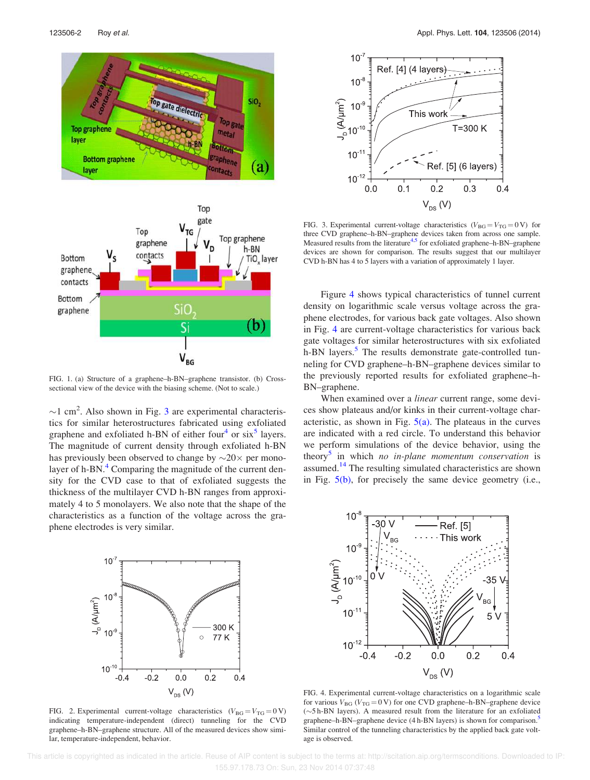

FIG. 1. (a) Structure of a graphene–h-BN–graphene transistor. (b) Crosssectional view of the device with the biasing scheme. (Not to scale.)

 $\sim$ 1 cm<sup>2</sup>. Also shown in Fig. 3 are experimental characteristics for similar heterostructures fabricated using exfoliated graphene and exfoliated h-BN of either four<sup>4</sup> or  $six^5$  layers. The magnitude of current density through exfoliated h-BN has previously been observed to change by  $\sim$  20 $\times$  per monolayer of h-BN. $<sup>4</sup>$  Comparing the magnitude of the current den-</sup> sity for the CVD case to that of exfoliated suggests the thickness of the multilayer CVD h-BN ranges from approximately 4 to 5 monolayers. We also note that the shape of the characteristics as a function of the voltage across the graphene electrodes is very similar.



FIG. 2. Experimental current-voltage characteristics  $(V_{BG} = V_{TG} = 0 V)$ indicating temperature-independent (direct) tunneling for the CVD graphene–h-BN–graphene structure. All of the measured devices show similar, temperature-independent, behavior.



FIG. 3. Experimental current-voltage characteristics ( $V_{BG} = V_{TG} = 0$ V) for three CVD graphene–h-BN–graphene devices taken from across one sample. Measured results from the literature<sup>4,5</sup> for exfoliated graphene-h-BN-graphene devices are shown for comparison. The results suggest that our multilayer CVD h-BN has 4 to 5 layers with a variation of approximately 1 layer.

Figure 4 shows typical characteristics of tunnel current density on logarithmic scale versus voltage across the graphene electrodes, for various back gate voltages. Also shown in Fig. 4 are current-voltage characteristics for various back gate voltages for similar heterostructures with six exfoliated h-BN layers.<sup>5</sup> The results demonstrate gate-controlled tunneling for CVD graphene–h-BN–graphene devices similar to the previously reported results for exfoliated graphene–h-BN–graphene.

When examined over a *linear* current range, some devices show plateaus and/or kinks in their current-voltage characteristic, as shown in Fig.  $5(a)$ . The plateaus in the curves are indicated with a red circle. To understand this behavior we perform simulations of the device behavior, using the theory<sup>5</sup> in which no in-plane momentum conservation is assumed.<sup>14</sup> The resulting simulated characteristics are shown in Fig. 5(b), for precisely the same device geometry (i.e.,



FIG. 4. Experimental current-voltage characteristics on a logarithmic scale for various  $V_{BG}$  ( $V_{TG} = 0$  V) for one CVD graphene–h-BN–graphene device (-5 h-BN layers). A measured result from the literature for an exfoliated graphene–h-BN–graphene device (4 h-BN layers) is shown for comparison.<sup>5</sup> Similar control of the tunneling characteristics by the applied back gate voltage is observed.

 This article is copyrighted as indicated in the article. Reuse of AIP content is subject to the terms at: http://scitation.aip.org/termsconditions. Downloaded to IP: 155.97.178.73 On: Sun, 23 Nov 2014 07:37:48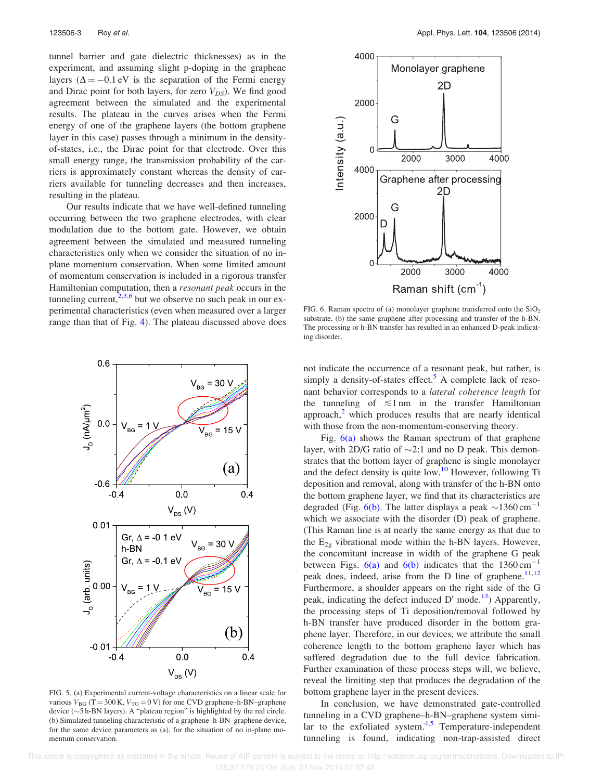tunnel barrier and gate dielectric thicknesses) as in the experiment, and assuming slight p-doping in the graphene layers ( $\Delta = -0.1$  eV is the separation of the Fermi energy and Dirac point for both layers, for zero  $V_{DS}$ ). We find good agreement between the simulated and the experimental results. The plateau in the curves arises when the Fermi energy of one of the graphene layers (the bottom graphene layer in this case) passes through a minimum in the densityof-states, i.e., the Dirac point for that electrode. Over this small energy range, the transmission probability of the carriers is approximately constant whereas the density of carriers available for tunneling decreases and then increases, resulting in the plateau.

Our results indicate that we have well-defined tunneling occurring between the two graphene electrodes, with clear modulation due to the bottom gate. However, we obtain agreement between the simulated and measured tunneling characteristics only when we consider the situation of no inplane momentum conservation. When some limited amount of momentum conservation is included in a rigorous transfer Hamiltonian computation, then a *resonant peak* occurs in the tunneling current, $2,3,6$  but we observe no such peak in our experimental characteristics (even when measured over a larger range than that of Fig. 4). The plateau discussed above does



FIG. 5. (a) Experimental current-voltage characteristics on a linear scale for various  $V_{BG}$  (T = 300 K,  $V_{TG}$  = 0 V) for one CVD graphene–h-BN–graphene device ( $\sim$ 5 h-BN layers). A "plateau region" is highlighted by the red circle. (b) Simulated tunneling characteristic of a graphene–h-BN–graphene device, for the same device parameters as (a), for the situation of no in-plane momentum conservation.



FIG. 6. Raman spectra of (a) monolayer graphene transferred onto the  $SiO<sub>2</sub>$ substrate, (b) the same graphene after processing and transfer of the h-BN. The processing or h-BN transfer has resulted in an enhanced D-peak indicating disorder.

not indicate the occurrence of a resonant peak, but rather, is simply a density-of-states effect.<sup>5</sup> A complete lack of resonant behavior corresponds to a lateral coherence length for the tunneling of  $\leq 1$  nm in the transfer Hamiltonian approach, $\frac{2}{3}$  which produces results that are nearly identical with those from the non-momentum-conserving theory.

Fig.  $6(a)$  shows the Raman spectrum of that graphene layer, with 2D/G ratio of  $\sim$ 2:1 and no D peak. This demonstrates that the bottom layer of graphene is single monolayer and the defect density is quite low.<sup>10</sup> However, following Ti deposition and removal, along with transfer of the h-BN onto the bottom graphene layer, we find that its characteristics are degraded (Fig. 6(b). The latter displays a peak  $\sim$ 1360 cm<sup>-1</sup> which we associate with the disorder (D) peak of graphene. (This Raman line is at nearly the same energy as that due to the  $E_{2g}$  vibrational mode within the h-BN layers. However, the concomitant increase in width of the graphene G peak between Figs.  $6(a)$  and  $6(b)$  indicates that the 1360 cm<sup>-1</sup> peak does, indeed, arise from the D line of graphene.<sup>11,12</sup> Furthermore, a shoulder appears on the right side of the G peak, indicating the defect induced  $D'$  mode.<sup>13</sup>) Apparently, the processing steps of Ti deposition/removal followed by h-BN transfer have produced disorder in the bottom graphene layer. Therefore, in our devices, we attribute the small coherence length to the bottom graphene layer which has suffered degradation due to the full device fabrication. Further examination of these process steps will, we believe, reveal the limiting step that produces the degradation of the bottom graphene layer in the present devices.

In conclusion, we have demonstrated gate-controlled tunneling in a CVD graphene–h-BN–graphene system similar to the exfoliated system.<sup>4,5</sup> Temperature-independent tunneling is found, indicating non-trap-assisted direct